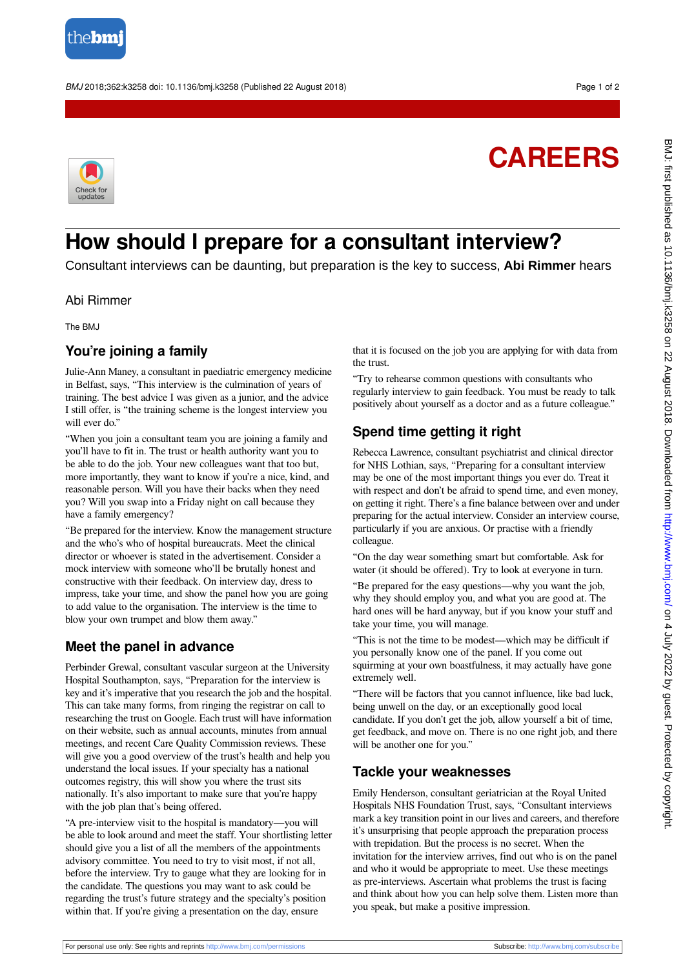

BMJ 2018;362:k3258 doi: 10.1136/bmj.k3258 (Published 22 August 2018) Page 1 of 2

# **CAREERS**



# **How should I prepare for a consultant interview?**

Consultant interviews can be daunting, but preparation is the key to success, **Abi Rimmer** hears

#### Abi Rimmer

The BMJ

## **You're joining a family**

Julie-Ann Maney, a consultant in paediatric emergency medicine in Belfast, says, "This interview is the culmination of years of training. The best advice I was given as a junior, and the advice I still offer, is "the training scheme is the longest interview you will ever do."

"When you join a consultant team you are joining a family and you'll have to fit in. The trust or health authority want you to be able to do the job. Your new colleagues want that too but, more importantly, they want to know if you're a nice, kind, and reasonable person. Will you have their backs when they need you? Will you swap into a Friday night on call because they have a family emergency?

"Be prepared for the interview. Know the management structure and the who's who of hospital bureaucrats. Meet the clinical director or whoever is stated in the advertisement. Consider a mock interview with someone who'll be brutally honest and constructive with their feedback. On interview day, dress to impress, take your time, and show the panel how you are going to add value to the organisation. The interview is the time to blow your own trumpet and blow them away."

### **Meet the panel in advance**

Perbinder Grewal, consultant vascular surgeon at the University Hospital Southampton, says, "Preparation for the interview is key and it's imperative that you research the job and the hospital. This can take many forms, from ringing the registrar on call to researching the trust on Google. Each trust will have information on their website, such as annual accounts, minutes from annual meetings, and recent Care Quality Commission reviews. These will give you a good overview of the trust's health and help you understand the local issues. If your specialty has a national outcomes registry, this will show you where the trust sits nationally. It's also important to make sure that you're happy with the job plan that's being offered.

"A pre-interview visit to the hospital is mandatory—you will be able to look around and meet the staff. Your shortlisting letter should give you a list of all the members of the appointments advisory committee. You need to try to visit most, if not all, before the interview. Try to gauge what they are looking for in the candidate. The questions you may want to ask could be regarding the trust's future strategy and the specialty's position within that. If you're giving a presentation on the day, ensure

that it is focused on the job you are applying for with data from the trust.

"Try to rehearse common questions with consultants who regularly interview to gain feedback. You must be ready to talk positively about yourself as a doctor and as a future colleague."

# **Spend time getting it right**

Rebecca Lawrence, consultant psychiatrist and clinical director for NHS Lothian, says, "Preparing for a consultant interview may be one of the most important things you ever do. Treat it with respect and don't be afraid to spend time, and even money, on getting it right. There's a fine balance between over and under preparing for the actual interview. Consider an interview course, particularly if you are anxious. Or practise with a friendly colleague.

"On the day wear something smart but comfortable. Ask for water (it should be offered). Try to look at everyone in turn.

"Be prepared for the easy questions—why you want the job, why they should employ you, and what you are good at. The hard ones will be hard anyway, but if you know your stuff and take your time, you will manage.

"This is not the time to be modest—which may be difficult if you personally know one of the panel. If you come out squirming at your own boastfulness, it may actually have gone extremely well.

"There will be factors that you cannot influence, like bad luck, being unwell on the day, or an exceptionally good local candidate. If you don't get the job, allow yourself a bit of time, get feedback, and move on. There is no one right job, and there will be another one for you."

### **Tackle your weaknesses**

Emily Henderson, consultant geriatrician at the Royal United Hospitals NHS Foundation Trust, says, "Consultant interviews mark a key transition point in our lives and careers, and therefore it's unsurprising that people approach the preparation process with trepidation. But the process is no secret. When the invitation for the interview arrives, find out who is on the panel and who it would be appropriate to meet. Use these meetings as pre-interviews. Ascertain what problems the trust is facing and think about how you can help solve them. Listen more than you speak, but make a positive impression.